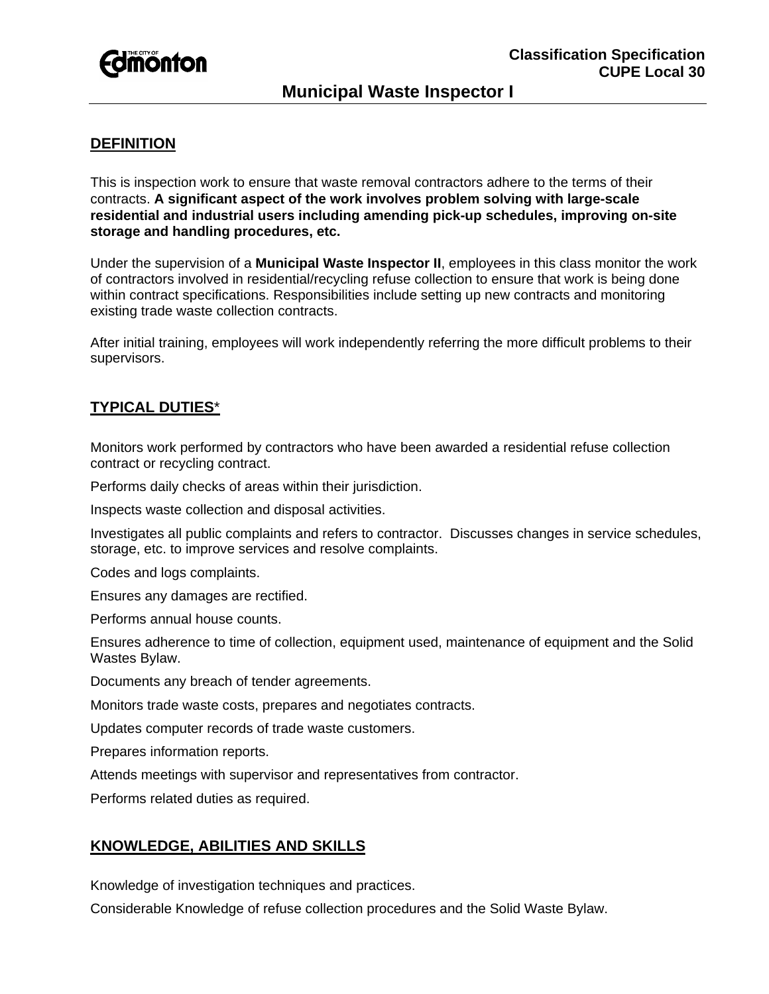

# **Municipal Waste Inspector I**

# **DEFINITION**

This is inspection work to ensure that waste removal contractors adhere to the terms of their contracts. **A significant aspect of the work involves problem solving with large-scale residential and industrial users including amending pick-up schedules, improving on-site storage and handling procedures, etc.** 

Under the supervision of a **Municipal Waste Inspector II**, employees in this class monitor the work of contractors involved in residential/recycling refuse collection to ensure that work is being done within contract specifications. Responsibilities include setting up new contracts and monitoring existing trade waste collection contracts.

After initial training, employees will work independently referring the more difficult problems to their supervisors.

## **TYPICAL DUTIES**\*

Monitors work performed by contractors who have been awarded a residential refuse collection contract or recycling contract.

Performs daily checks of areas within their jurisdiction.

Inspects waste collection and disposal activities.

Investigates all public complaints and refers to contractor. Discusses changes in service schedules, storage, etc. to improve services and resolve complaints.

Codes and logs complaints.

Ensures any damages are rectified.

Performs annual house counts.

Ensures adherence to time of collection, equipment used, maintenance of equipment and the Solid Wastes Bylaw.

Documents any breach of tender agreements.

Monitors trade waste costs, prepares and negotiates contracts.

Updates computer records of trade waste customers.

Prepares information reports.

Attends meetings with supervisor and representatives from contractor.

Performs related duties as required.

### **KNOWLEDGE, ABILITIES AND SKILLS**

Knowledge of investigation techniques and practices.

Considerable Knowledge of refuse collection procedures and the Solid Waste Bylaw.